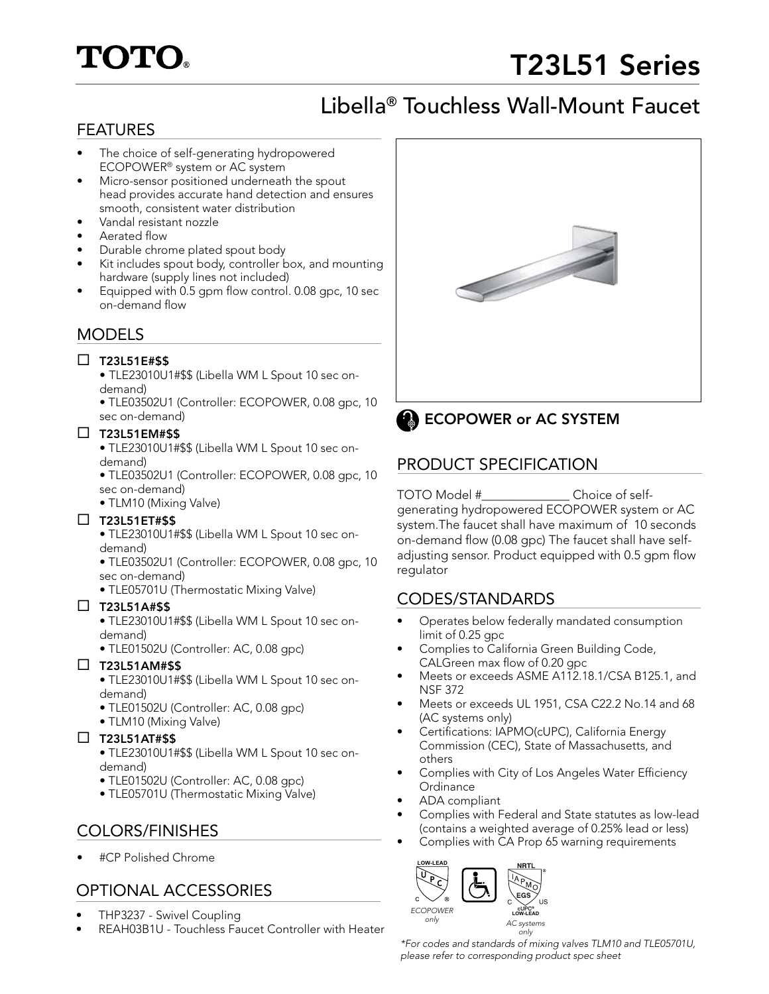# **TOTO.**

## T23L51 Series

## Libella® Touchless Wall-Mount Faucet

### FEATURES

- The choice of self-generating hydropowered ECOPOWER® system or AC system
- Micro-sensor positioned underneath the spout head provides accurate hand detection and ensures smooth, consistent water distribution
- Vandal resistant nozzle
- Aerated flow
- Durable chrome plated spout body
- Kit includes spout body, controller box, and mounting hardware (supply lines not included)
- Equipped with 0.5 gpm flow control. 0.08 gpc, 10 sec on-demand flow

### MODELS

### $\square$  T23L51E#\$\$

- TLE23010U1#\$\$ (Libella WM L Spout 10 sec ondemand)
- TLE03502U1 (Controller: ECOPOWER, 0.08 gpc, 10 sec on-demand)

#### $\square$  T23L51EM#\$\$

- TLE23010U1#\$\$ (Libella WM L Spout 10 sec ondemand)
- TLE03502U1 (Controller: ECOPOWER, 0.08 gpc, 10 sec on-demand)
- TLM10 (Mixing Valve)

### $\square$  T23L51ET#\$\$

• TLE23010U1#\$\$ (Libella WM L Spout 10 sec ondemand)

- TLE03502U1 (Controller: ECOPOWER, 0.08 gpc, 10 sec on-demand)
- TLE05701U (Thermostatic Mixing Valve)

### $\square$  T23L51A#\$\$

• TLE23010U1#\$\$ (Libella WM L Spout 10 sec ondemand)

• TLE01502U (Controller: AC, 0.08 gpc)

### $\Box$  T23L51AM#\$\$

- TLE23010U1#\$\$ (Libella WM L Spout 10 sec ondemand)
- TLE01502U (Controller: AC, 0.08 gpc)
- TLM10 (Mixing Valve)

### $\Box$  T23L51AT#\$\$

- TLE23010U1#\$\$ (Libella WM L Spout 10 sec ondemand)
- TLE01502U (Controller: AC, 0.08 gpc)
- TLE05701U (Thermostatic Mixing Valve)

### COLORS/FINISHES

• #CP Polished Chrome

## OPTIONAL ACCESSORIES

- THP3237 Swivel Coupling
- REAH03B1U Touchless Faucet Controller with Heater





### **ECOPOWER or AC SYSTEM**

### PRODUCT SPECIFICATION

#### TOTO Model #\_\_\_\_\_\_\_\_\_\_\_\_\_\_ Choice of selfgenerating hydropowered ECOPOWER system or AC system.The faucet shall have maximum of 10 seconds on-demand flow (0.08 gpc) The faucet shall have selfadjusting sensor. Product equipped with 0.5 gpm flow regulator

### CODES/STANDARDS

- Operates below federally mandated consumption limit of 0.25 gpc
- Complies to California Green Building Code, CALGreen max flow of 0.20 gpc
- Meets or exceeds ASME A112.18.1/CSA B125.1, and NSF 372
- Meets or exceeds UL 1951, CSA C22.2 No.14 and 68 (AC systems only)
- Certifications: IAPMO(cUPC), California Energy Commission (CEC), State of Massachusetts, and others
- Complies with City of Los Angeles Water Efficiency **Ordinance**
- ADA compliant
- Complies with Federal and State statutes as low-lead (contains a weighted average of 0.25% lead or less)
- Complies with CA Prop 65 warning requirements



*\*For codes and standards of mixing valves TLM10 and TLE05701U, please refer to corresponding product spec sheet*